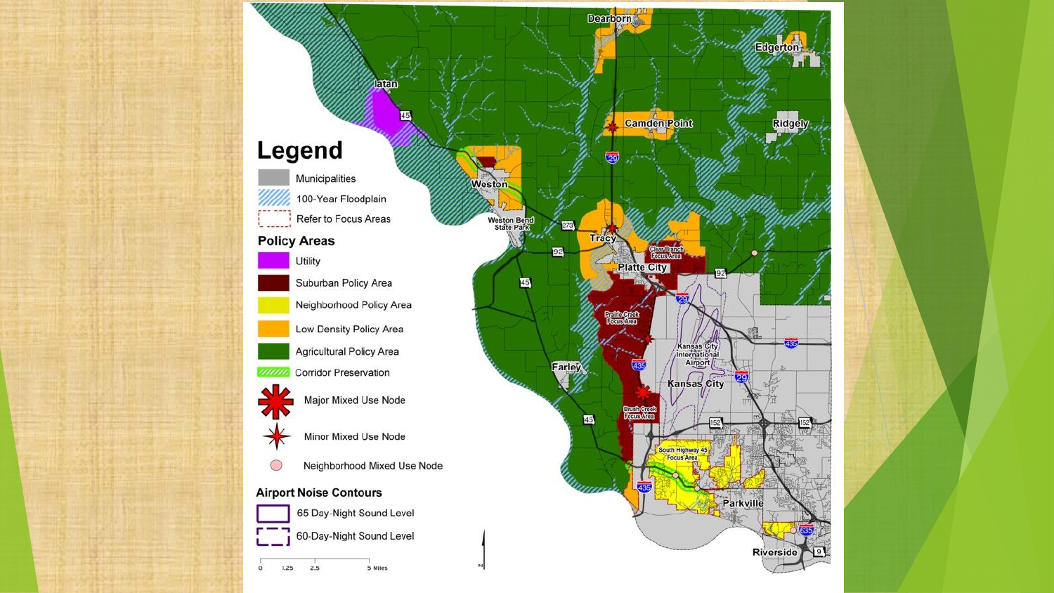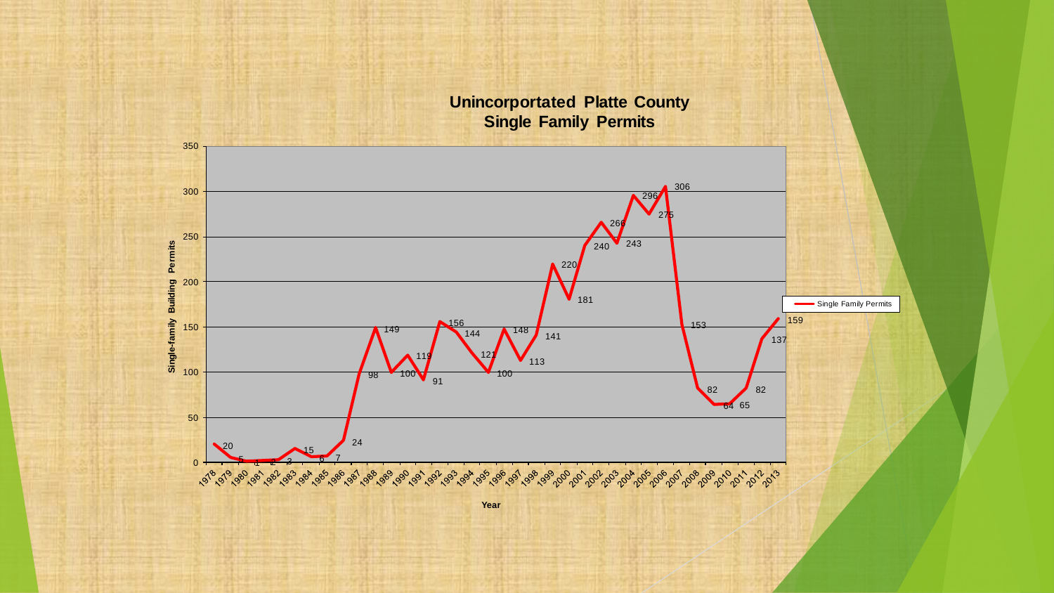**Unincorportated Platte County Single Family Permits**  $\sqrt{243}$  Single-family Building Permits **Single-family Building Permits** Single Family Permits  $\frac{1}{98}$  $\frac{1}{91}$   $\begin{array}{c} \hline \hline \hline 82 \end{array}$  $\frac{1}{\sqrt{82}}$  00<br>50<br>50  $\frac{1}{24}$  V  $\frac{20}{2}$  $\frac{15}{15}$  $64 65$  $\Omega$  1 2 3 **Year**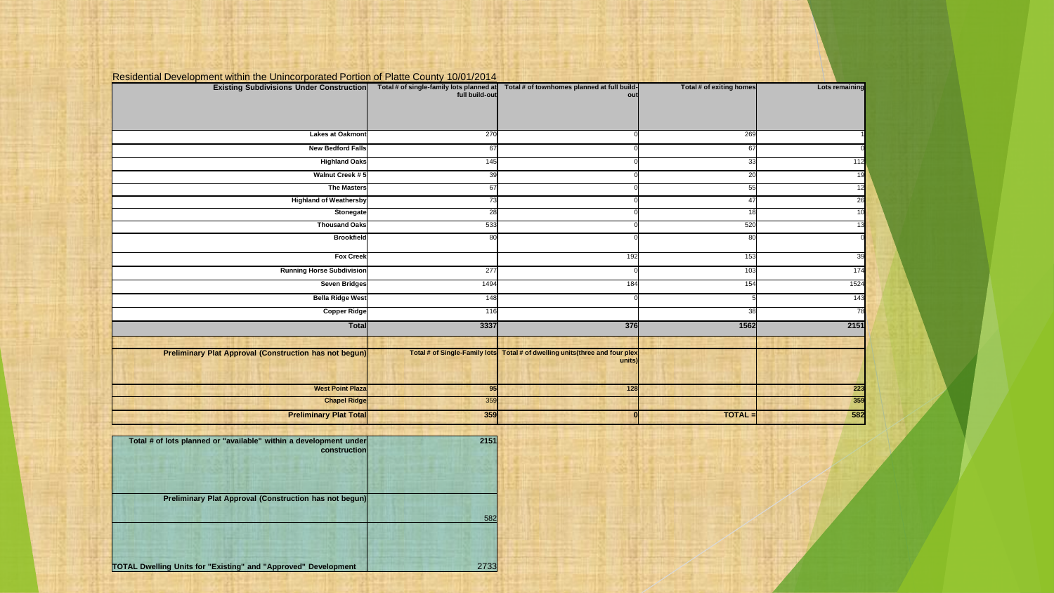| <b>Existing Subdivisions Under Construction</b>               | Total # of single-family lots planned at<br>full build-out | Total # of townhomes planned at full build-<br>out                                     | Total # of exiting homes | Lots remaining |
|---------------------------------------------------------------|------------------------------------------------------------|----------------------------------------------------------------------------------------|--------------------------|----------------|
|                                                               |                                                            |                                                                                        |                          |                |
|                                                               |                                                            |                                                                                        |                          |                |
| <b>Lakes at Oakmont</b>                                       | 270                                                        |                                                                                        | 269                      |                |
| <b>New Bedford Falls</b>                                      | 67                                                         |                                                                                        | 67                       |                |
| <b>Highland Oaks</b>                                          | 145                                                        |                                                                                        | 33                       | 112            |
| Walnut Creek #5                                               | 39                                                         |                                                                                        | 20                       | 19             |
| <b>The Masters</b>                                            | 67                                                         |                                                                                        | 55                       | 12             |
| <b>Highland of Weathersby</b>                                 | 73                                                         |                                                                                        | 47                       | 26             |
| Stonegate                                                     | 28                                                         |                                                                                        | 18                       |                |
| <b>Thousand Oaks</b>                                          | 533                                                        |                                                                                        | 520                      |                |
| <b>Brookfield</b>                                             | 80                                                         |                                                                                        | 80                       |                |
| <b>Fox Creek</b>                                              |                                                            | 192                                                                                    | 153                      | 39             |
| <b>Running Horse Subdivision</b>                              | 277                                                        |                                                                                        | 103                      | 174            |
| <b>Seven Bridges</b>                                          | 1494                                                       | 184                                                                                    | 154                      | 1524           |
| <b>Bella Ridge West</b>                                       | 148                                                        |                                                                                        |                          | 143            |
| <b>Copper Ridge</b>                                           | 116                                                        |                                                                                        | 38                       | 78             |
| <b>Total</b>                                                  | 3337                                                       | 376                                                                                    | 1562                     | 2151           |
|                                                               |                                                            |                                                                                        |                          |                |
| <b>Preliminary Plat Approval (Construction has not begun)</b> |                                                            | Total # of Single-Family lots Total # of dwelling units (three and four plex<br>units) |                          |                |
|                                                               |                                                            |                                                                                        |                          |                |
| <b>West Point Plaza</b>                                       | 95                                                         | 128                                                                                    |                          | 223            |
| <b>Chapel Ridge</b>                                           | 359                                                        |                                                                                        |                          | 359            |
| <b>Preliminary Plat Total</b>                                 | 359                                                        |                                                                                        | TOTAL =                  | 582            |

## Residential Development within the Unincorporated Portion of Platte County 10/01/2014

| 2151<br>construction | Total # of lots planned or "available" within a development under     |
|----------------------|-----------------------------------------------------------------------|
|                      |                                                                       |
|                      | Preliminary Plat Approval (Construction has not begun)                |
| 582                  |                                                                       |
|                      | <b>TOTAL Dwelling Units for "Existing" and "Approved" Development</b> |